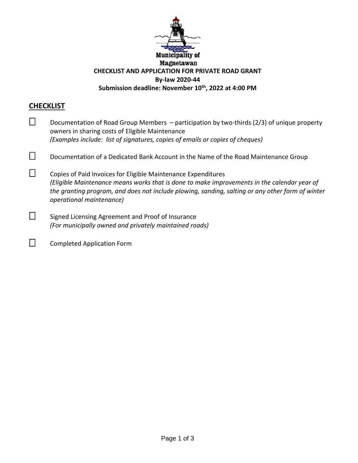

## **CHECKLIST**

| Documentation of Road Group Members - participation by two-thirds (2/3) of unique property<br>owners in sharing costs of Eligible Maintenance<br>(Examples include: list of signatures, copies of emails or copies of cheques)                                                               |
|----------------------------------------------------------------------------------------------------------------------------------------------------------------------------------------------------------------------------------------------------------------------------------------------|
| Documentation of a Dedicated Bank Account in the Name of the Road Maintenance Group                                                                                                                                                                                                          |
| Copies of Paid Invoices for Eligible Maintenance Expenditures<br>(Eligible Maintenance means works that is done to make improvements in the calendar year of<br>the granting program, and does not include plowing, sanding, salting or any other form of winter<br>operational maintenance) |
| Signed Licensing Agreement and Proof of Insurance<br>(For municipally owned and privately maintained roads)                                                                                                                                                                                  |

□ Completed Application Form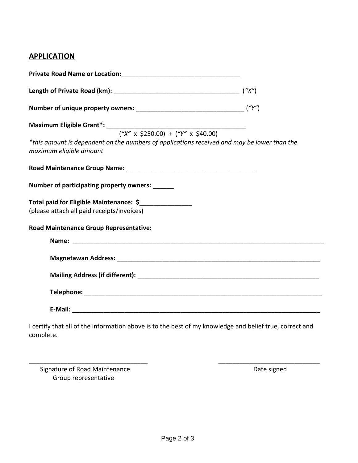## **APPLICATION**

| Maximum Eligible Grant*: $\frac{(\text{``}x \text{''} \times \text{5250.00}) + (\text{``}y \text{''} \times \text{540.00})}{(\text{``}x \text{''} \times \text{5250.00}) + (\text{``}y \text{''} \times \text{540.00})}$ |  |
|--------------------------------------------------------------------------------------------------------------------------------------------------------------------------------------------------------------------------|--|
|                                                                                                                                                                                                                          |  |
| *this amount is dependent on the numbers of applications received and may be lower than the<br>maximum eligible amount                                                                                                   |  |
|                                                                                                                                                                                                                          |  |
| Number of participating property owners: ______                                                                                                                                                                          |  |
| Total paid for Eligible Maintenance: \$<br>(please attach all paid receipts/invoices)                                                                                                                                    |  |
| <b>Road Maintenance Group Representative:</b>                                                                                                                                                                            |  |
|                                                                                                                                                                                                                          |  |
|                                                                                                                                                                                                                          |  |
|                                                                                                                                                                                                                          |  |
|                                                                                                                                                                                                                          |  |
|                                                                                                                                                                                                                          |  |
| I certify that all of the information above is to the best of my knowledge and belief true, correct and<br>complete.                                                                                                     |  |

Signature of Road Maintenance **Date signed** Date signed Group representative

\_\_\_\_\_\_\_\_\_\_\_\_\_\_\_\_\_\_\_\_\_\_\_\_\_\_\_\_\_\_\_\_\_\_ \_\_\_\_\_\_\_\_\_\_\_\_\_\_\_\_\_\_\_\_\_\_\_\_\_\_\_\_\_